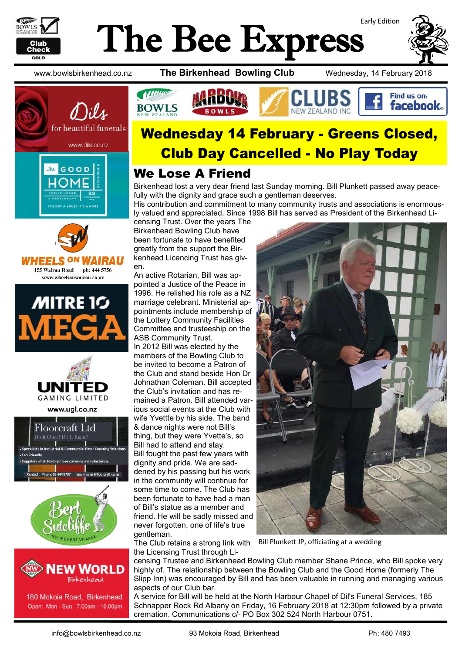

# Early Edition The Bee Express











www.ugl.co.nz





180 Mokoia Road, Birkenhead Open: Mon - Sun 7.00am - 10.00pm

www.bowlsbirkenhead.co.nz **The Birkenhead Bowling Club** Wednesday, 14 February 2018



# Wednesday 14 February - Greens Closed, Club Day Cancelled - No Play Today

### We Lose A Friend

Birkenhead lost a very dear friend last Sunday morning. Bill Plunkett passed away peacefully with the dignity and grace such a gentleman deserves.

His contribution and commitment to many community trusts and associations is enormously valued and appreciated. Since 1998 Bill has served as President of the Birkenhead Li-

censing Trust. Over the years The Birkenhead Bowling Club have been fortunate to have benefited greatly from the support the Birkenhead Licencing Trust has given.

An active Rotarian, Bill was appointed a Justice of the Peace in 1996. He relished his role as a NZ marriage celebrant. Ministerial appointments include membership of the Lottery Community Facilities Committee and trusteeship on the ASB Community Trust. In 2012 Bill was elected by the members of the Bowling Club to be invited to become a Patron of the Club and stand beside Hon Dr Johnathan Coleman. Bill accepted the Club's invitation and has remained a Patron. Bill attended various social events at the Club with wife Yvettte by his side. The band & dance nights were not Bill's thing, but they were Yvette's, so Bill had to attend and stay. Bill fought the past few years with dignity and pride. We are saddened by his passing but his work in the community will continue for some time to come. The Club has been fortunate to have had a man of Bill's statue as a member and friend. He will be sadly missed and never forgotten, one of life's true gentleman.

The Club retains a strong link with the Licensing Trust through Li-

censing Trustee and Birkenhead Bowling Club member Shane Prince, who Bill spoke very highly of. The relationship between the Bowling Club and the Good Home (formerly The Slipp Inn) was encouraged by Bill and has been valuable in running and managing various aspects of our Club bar.

Bill Plunkett JP, officiating at a wedding

A service for Bill will be held at the North Harbour Chapel of Dil's Funeral Services, 185 Schnapper Rock Rd Albany on Friday, 16 February 2018 at 12:30pm followed by a private cremation. Communications c/- PO Box 302 524 North Harbour 0751.

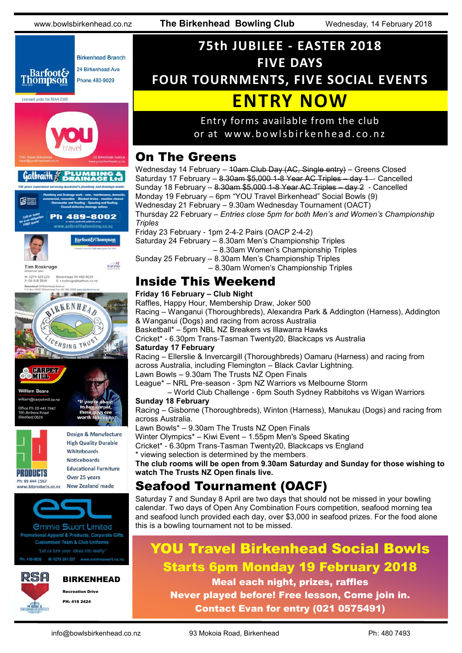

# **75th JUBILEE - EASTER 2018 FIVE DAYS FOUR TOURNMENTS, FIVE SOCIAL EVENTS ENTRY NOW**

#### Entry forms available from the club or at www.bowlsbirkenhead.co.nz

## On The Greens

Wednesday 14 February – 10am Club Day (AC, Single entry) – Greens Closed Saturday 17 February - 8.30am \$5,000 1-8 Year AC Triples - day 1 - Cancelled Sunday 18 February – 8.30am \$5,000 1-8 Year AC Triples – day 2 - Cancelled Monday 19 February – 6pm "YOU Travel Birkenhead" Social Bowls (9) Wednesday 21 February – 9.30am Wednesday Tournament (OACT) Thursday 22 February – *Entries close 5pm for both Men's and Women's Championship Triples*

Friday 23 February - 1pm 2-4-2 Pairs (OACP 2-4-2) Saturday 24 February – 8.30am Men's Championship Triples – 8.30am Women's Championship Triples Sunday 25 February – 8.30am Men's Championship Triples – 8.30am Women's Championship Triples

## Inside This Weekend

#### **Friday 16 February – Club Night**

Raffles, Happy Hour, Membership Draw, Joker 500 Racing – Wanganui (Thoroughbreds), Alexandra Park & Addington (Harness), Addington & Wanganui (Dogs) and racing from across Australia Basketball\* – 5pm NBL NZ Breakers vs Illawarra Hawks Cricket\* - 6.30pm Trans-Tasman Twenty20, Blackcaps vs Australia **Saturday 17 February** Racing – Ellerslie & Invercargill (Thoroughbreds) Oamaru (Harness) and racing from across Australia, including Flemington – Black Cavlar Lightning. Lawn Bowls – 9.30am The Trusts NZ Open Finals League\* – NRL Pre-season - 3pm NZ Warriors vs Melbourne Storm – World Club Challenge - 6pm South Sydney Rabbitohs vs Wigan Warriors **Sunday 18 February** Racing – Gisborne (Thoroughbreds), Winton (Harness), Manukau (Dogs) and racing from

across Australia.

Lawn Bowls\* – 9.30am The Trusts NZ Open Finals Winter Olympics\* – Kiwi Event – 1.55pm Men's Speed Skating Cricket\* - 6.30pm Trans-Tasman Twenty20, Blackcaps vs England

\* viewing selection is determined by the members.

**The club rooms will be open from 9.30am Saturday and Sunday for those wishing to watch The Trusts NZ Open finals live.**

## Seafood Tournament (OACF)

Saturday 7 and Sunday 8 April are two days that should not be missed in your bowling calendar. Two days of Open Any Combination Fours competition, seafood morning tea and seafood lunch provided each day, over \$3,000 in seafood prizes. For the food alone this is a bowling tournament not to be missed.

## YOU Travel Birkenhead Social Bowls Starts 6pm Monday 19 February 2018

Meal each night, prizes, raffles Never played before! Free lesson, Come join in. Contact Evan for entry (021 0575491)

BIRKENHEAD

Recreation Drive PH: 418 2424

RSA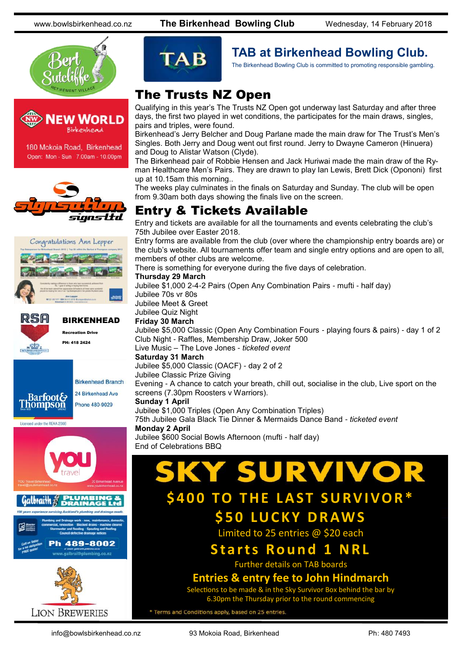www.bowlsbirkenhead.co.nz **The Birkenhead Bowling Club** Wednesday, 14 February 2018







igns Ltd





Licensed under the REAA 2008



**LION BREWERIES** 



## **TAB at Birkenhead Bowling Club.**

The Birkenhead Bowling Club is committed to promoting responsible gambling.

## The Trusts NZ Open

Qualifying in this year's The Trusts NZ Open got underway last Saturday and after three days, the first two played in wet conditions, the participates for the main draws, singles, pairs and triples, were found.

Birkenhead's Jerry Belcher and Doug Parlane made the main draw for The Trust's Men's Singles. Both Jerry and Doug went out first round. Jerry to Dwayne Cameron (Hinuera) and Doug to Alistar Watson (Clyde).

The Birkenhead pair of Robbie Hensen and Jack Huriwai made the main draw of the Ryman Healthcare Men's Pairs. They are drawn to play Ian Lewis, Brett Dick (Opononi) first up at 10.15am this morning..

The weeks play culminates in the finals on Saturday and Sunday. The club will be open from 9.30am both days showing the finals live on the screen.

## Entry & Tickets Available

Entry and tickets are available for all the tournaments and events celebrating the club's 75th Jubilee over Easter 2018.

Entry forms are available from the club (over where the championship entry boards are) or the club's website. All tournaments offer team and single entry options and are open to all, members of other clubs are welcome.

There is something for everyone during the five days of celebration.

#### **Thursday 29 March**

Jubilee \$1,000 2-4-2 Pairs (Open Any Combination Pairs - mufti - half day) Jubilee 70s vr 80s

Jubilee Meet & Greet

#### Jubilee Quiz Night

#### **Friday 30 March**

Jubilee \$5,000 Classic (Open Any Combination Fours - playing fours & pairs) - day 1 of 2 Club Night - Raffles, Membership Draw, Joker 500

Live Music – The Love Jones - *ticketed event*

#### **Saturday 31 March**

Jubilee \$5,000 Classic (OACF) - day 2 of 2 Jubilee Classic Prize Giving

Evening - A chance to catch your breath, chill out, socialise in the club, Live sport on the screens (7.30pm Roosters v Warriors).

#### **Sunday 1 April**

Jubilee \$1,000 Triples (Open Any Combination Triples)

75th Jubilee Gala Black Tie Dinner & Mermaids Dance Band - *ticketed event* **Monday 2 April**

Jubilee \$600 Social Bowls Afternoon (mufti - half day) End of Celebrations BBQ

# **SURVIVO**

## **\$400 TO THE LAST SURVIVOR\* \$ 5 0 LU C K Y D R AW S**

Limited to 25 entries @ \$20 each

## **Starts Round 1 NRL**

Further details on TAB boards

#### **Entries & entry fee to John Hindmarch**

Selections to be made & in the Sky Survivor Box behind the bar by 6.30pm the Thursday prior to the round commencing

\* Terms and Conditions apply, based on 25 entries.